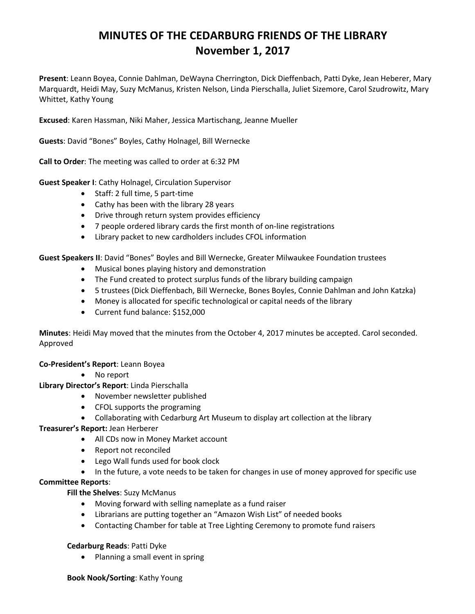# **MINUTES OF THE CEDARBURG FRIENDS OF THE LIBRARY November 1, 2017**

**Present**: Leann Boyea, Connie Dahlman, DeWayna Cherrington, Dick Dieffenbach, Patti Dyke, Jean Heberer, Mary Marquardt, Heidi May, Suzy McManus, Kristen Nelson, Linda Pierschalla, Juliet Sizemore, Carol Szudrowitz, Mary Whittet, Kathy Young

**Excused**: Karen Hassman, Niki Maher, Jessica Martischang, Jeanne Mueller

**Guests**: David "Bones" Boyles, Cathy Holnagel, Bill Wernecke

**Call to Order**: The meeting was called to order at 6:32 PM

**Guest Speaker I**: Cathy Holnagel, Circulation Supervisor

- Staff: 2 full time, 5 part-time
- Cathy has been with the library 28 years
- Drive through return system provides efficiency
- 7 people ordered library cards the first month of on-line registrations
- Library packet to new cardholders includes CFOL information

**Guest Speakers II**: David "Bones" Boyles and Bill Wernecke, Greater Milwaukee Foundation trustees

- Musical bones playing history and demonstration
- The Fund created to protect surplus funds of the library building campaign
- 5 trustees (Dick Dieffenbach, Bill Wernecke, Bones Boyles, Connie Dahlman and John Katzka)
- Money is allocated for specific technological or capital needs of the library
- Current fund balance: \$152,000

**Minutes**: Heidi May moved that the minutes from the October 4, 2017 minutes be accepted. Carol seconded. Approved

### **Co-President's Report**: Leann Boyea

• No report

**Library Director's Report**: Linda Pierschalla

- November newsletter published
- CFOL supports the programing
- Collaborating with Cedarburg Art Museum to display art collection at the library

### **Treasurer's Report:** Jean Herberer

- All CDs now in Money Market account
- Report not reconciled
- Lego Wall funds used for book clock
- In the future, a vote needs to be taken for changes in use of money approved for specific use

## **Committee Reports**:

### **Fill the Shelves**: Suzy McManus

- Moving forward with selling nameplate as a fund raiser
- Librarians are putting together an "Amazon Wish List" of needed books
- Contacting Chamber for table at Tree Lighting Ceremony to promote fund raisers

### **Cedarburg Reads**: Patti Dyke

• Planning a small event in spring

#### **Book Nook/Sorting**: Kathy Young